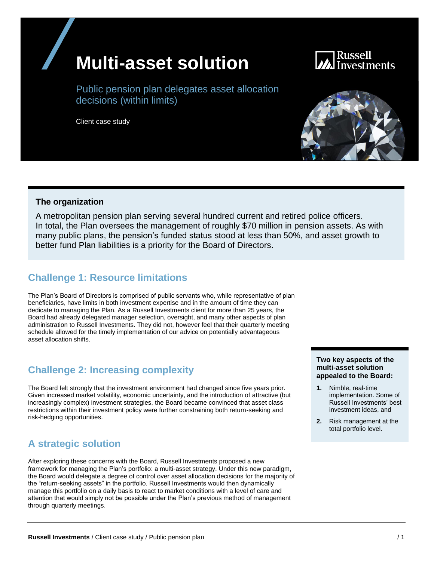## **Multi-asset solution**

# Russell

Public pension plan delegates asset allocation decisions (within limits)

Client case study



A metropolitan pension plan serving several hundred current and retired police officers. In total, the Plan oversees the management of roughly \$70 million in pension assets. As with many public plans, the pension's funded status stood at less than 50%, and asset growth to better fund Plan liabilities is a priority for the Board of Directors.

## **Challenge 1: Resource limitations**

The Plan's Board of Directors is comprised of public servants who, while representative of plan beneficiaries, have limits in both investment expertise and in the amount of time they can dedicate to managing the Plan. As a Russell Investments client for more than 25 years, the Board had already delegated manager selection, oversight, and many other aspects of plan administration to Russell Investments. They did not, however feel that their quarterly meeting schedule allowed for the timely implementation of our advice on potentially advantageous asset allocation shifts.

## **Challenge 2: Increasing complexity**

The Board felt strongly that the investment environment had changed since five years prior. Given increased market volatility, economic uncertainty, and the introduction of attractive (but increasingly complex) investment strategies, the Board became convinced that asset class restrictions within their investment policy were further constraining both return-seeking and risk-hedging opportunities.

## **A strategic solution**

After exploring these concerns with the Board, Russell Investments proposed a new framework for managing the Plan's portfolio: a multi-asset strategy. Under this new paradigm, the Board would delegate a degree of control over asset allocation decisions for the majority of the "return-seeking assets" in the portfolio. Russell Investments would then dynamically manage this portfolio on a daily basis to react to market conditions with a level of care and attention that would simply not be possible under the Plan's previous method of management through quarterly meetings.

#### **Two key aspects of the multi-asset solution appealed to the Board:**

- **1.** Nimble, real-time implementation. Some of Russell Investments' best investment ideas, and
- **2.** Risk management at the total portfolio level.

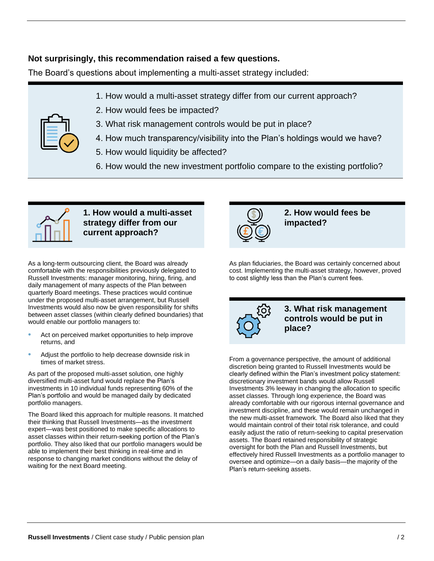#### **Not surprisingly, this recommendation raised a few questions.**

The Board's questions about implementing a multi-asset strategy included:

- 1. How would a multi-asset strategy differ from our current approach?
- 2. How would fees be impacted?



- 3. What risk management controls would be put in place?
- 4. How much transparency/visibility into the Plan's holdings would we have?
- 5. How would liquidity be affected?
- 6. How would the new investment portfolio compare to the existing portfolio?



**1. How would a multi-asset strategy differ from our current approach?**

As a long-term outsourcing client, the Board was already comfortable with the responsibilities previously delegated to Russell Investments: manager monitoring, hiring, firing, and daily management of many aspects of the Plan between quarterly Board meetings. These practices would continue under the proposed multi-asset arrangement, but Russell Investments would also now be given responsibility for shifts between asset classes (within clearly defined boundaries) that would enable our portfolio managers to:

- Act on perceived market opportunities to help improve returns, and
- Adjust the portfolio to help decrease downside risk in times of market stress.

As part of the proposed multi-asset solution, one highly diversified multi-asset fund would replace the Plan's investments in 10 individual funds representing 60% of the Plan's portfolio and would be managed daily by dedicated portfolio managers.

The Board liked this approach for multiple reasons. It matched their thinking that Russell Investments—as the investment expert—was best positioned to make specific allocations to asset classes within their return-seeking portion of the Plan's portfolio. They also liked that our portfolio managers would be able to implement their best thinking in real-time and in response to changing market conditions without the delay of waiting for the next Board meeting.



**2. How would fees be impacted?**

As plan fiduciaries, the Board was certainly concerned about cost. Implementing the multi-asset strategy, however, proved to cost slightly less than the Plan's current fees.



**3. What risk management controls would be put in place?**

From a governance perspective, the amount of additional discretion being granted to Russell Investments would be clearly defined within the Plan's investment policy statement: discretionary investment bands would allow Russell Investments 3% leeway in changing the allocation to specific asset classes. Through long experience, the Board was already comfortable with our rigorous internal governance and investment discipline, and these would remain unchanged in the new multi-asset framework. The Board also liked that they would maintain control of their total risk tolerance, and could easily adjust the ratio of return-seeking to capital preservation assets. The Board retained responsibility of strategic oversight for both the Plan and Russell Investments, but effectively hired Russell Investments as a portfolio manager to oversee and optimize—on a daily basis—the majority of the Plan's return-seeking assets.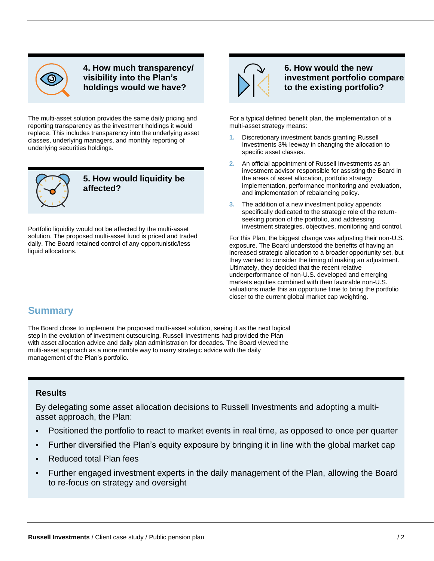

**4. How much transparency/ visibility into the Plan's holdings would we have?**

The multi-asset solution provides the same daily pricing and reporting transparency as the investment holdings it would replace. This includes transparency into the underlying asset classes, underlying managers, and monthly reporting of underlying securities holdings.



**5. How would liquidity be affected?**

Portfolio liquidity would not be affected by the multi-asset solution. The proposed multi-asset fund is priced and traded daily. The Board retained control of any opportunistic/less liquid allocations.



**6. How would the new investment portfolio compare to the existing portfolio?**

For a typical defined benefit plan, the implementation of a multi-asset strategy means:

- **1.** Discretionary investment bands granting Russell Investments 3% leeway in changing the allocation to specific asset classes.
- **2.** An official appointment of Russell Investments as an investment advisor responsible for assisting the Board in the areas of asset allocation, portfolio strategy implementation, performance monitoring and evaluation, and implementation of rebalancing policy.
- **3.** The addition of a new investment policy appendix specifically dedicated to the strategic role of the returnseeking portion of the portfolio, and addressing investment strategies, objectives, monitoring and control.

For this Plan, the biggest change was adjusting their non-U.S. exposure. The Board understood the benefits of having an increased strategic allocation to a broader opportunity set, but they wanted to consider the timing of making an adjustment. Ultimately, they decided that the recent relative underperformance of non-U.S. developed and emerging markets equities combined with then favorable non-U.S. valuations made this an opportune time to bring the portfolio closer to the current global market cap weighting.

## **Summary**

The Board chose to implement the proposed multi-asset solution, seeing it as the next logical step in the evolution of investment outsourcing. Russell Investments had provided the Plan with asset allocation advice and daily plan administration for decades. The Board viewed the multi-asset approach as a more nimble way to marry strategic advice with the daily management of the Plan's portfolio.

#### **Results**

By delegating some asset allocation decisions to Russell Investments and adopting a multiasset approach, the Plan:

- Positioned the portfolio to react to market events in real time, as opposed to once per quarter
- Further diversified the Plan's equity exposure by bringing it in line with the global market cap
- Reduced total Plan fees
- Further engaged investment experts in the daily management of the Plan, allowing the Board to re-focus on strategy and oversight